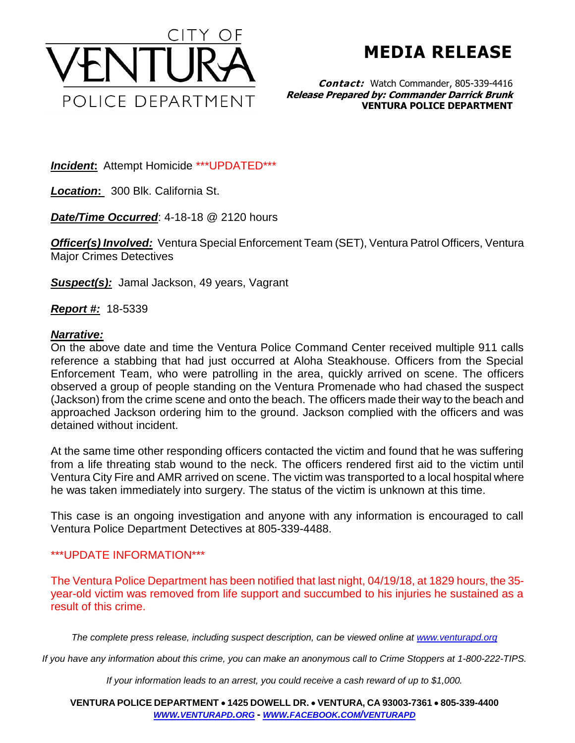

**MEDIA RELEASE**

**Contact:** Watch Commander, 805-339-4416 **Release Prepared by: Commander Darrick Brunk VENTURA POLICE DEPARTMENT**

*Incident***:** Attempt Homicide \*\*\*UPDATED\*\*\*

*Location***:** 300 Blk. California St.

*Date/Time Occurred*: 4-18-18 @ 2120 hours

**Officer(s) Involved:** Ventura Special Enforcement Team (SET), Ventura Patrol Officers, Ventura Major Crimes Detectives

*Suspect(s):* Jamal Jackson, 49 years, Vagrant

*Report #:* 18-5339

## *Narrative:*

On the above date and time the Ventura Police Command Center received multiple 911 calls reference a stabbing that had just occurred at Aloha Steakhouse. Officers from the Special Enforcement Team, who were patrolling in the area, quickly arrived on scene. The officers observed a group of people standing on the Ventura Promenade who had chased the suspect (Jackson) from the crime scene and onto the beach. The officers made their way to the beach and approached Jackson ordering him to the ground. Jackson complied with the officers and was detained without incident.

At the same time other responding officers contacted the victim and found that he was suffering from a life threating stab wound to the neck. The officers rendered first aid to the victim until Ventura City Fire and AMR arrived on scene. The victim was transported to a local hospital where he was taken immediately into surgery. The status of the victim is unknown at this time.

This case is an ongoing investigation and anyone with any information is encouraged to call Ventura Police Department Detectives at 805-339-4488.

## \*\*\*UPDATE INFORMATION\*\*\*

The Ventura Police Department has been notified that last night, 04/19/18, at 1829 hours, the 35 year-old victim was removed from life support and succumbed to his injuries he sustained as a result of this crime.

*The complete press release, including suspect description, can be viewed online at [www.venturapd.org](http://www.venturapd.org/)*

*If you have any information about this crime, you can make an anonymous call to Crime Stoppers at 1-800-222-TIPS.*

*If your information leads to an arrest, you could receive a cash reward of up to \$1,000.*

**VENTURA POLICE DEPARTMENT 1425 DOWELL DR. VENTURA, CA 93003-7361 805-339-4400**  *WWW.[VENTURAPD](http://www.venturapd.org/).ORG* **-** *WWW.FACEBOOK.COM/[VENTURAPD](http://www.facebook.com/venturapd)*